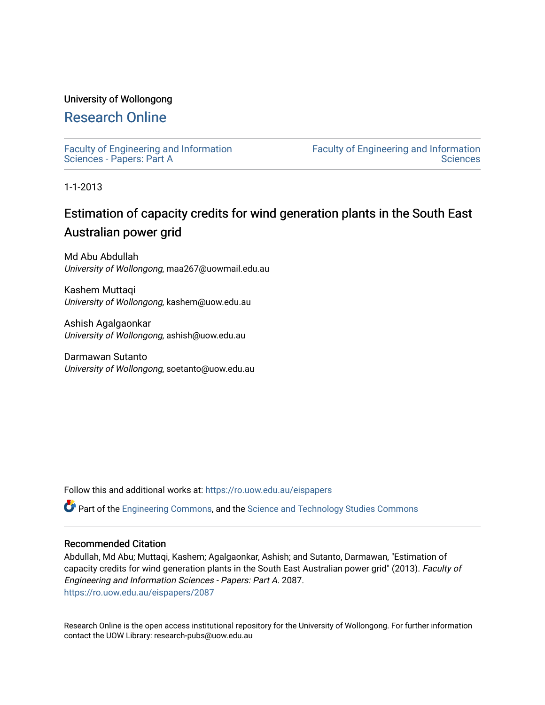### University of Wollongong

## [Research Online](https://ro.uow.edu.au/)

[Faculty of Engineering and Information](https://ro.uow.edu.au/eispapers)  [Sciences - Papers: Part A](https://ro.uow.edu.au/eispapers) 

[Faculty of Engineering and Information](https://ro.uow.edu.au/eis)  **Sciences** 

1-1-2013

# Estimation of capacity credits for wind generation plants in the South East Australian power grid

Md Abu Abdullah University of Wollongong, maa267@uowmail.edu.au

Kashem Muttaqi University of Wollongong, kashem@uow.edu.au

Ashish Agalgaonkar University of Wollongong, ashish@uow.edu.au

Darmawan Sutanto University of Wollongong, soetanto@uow.edu.au

Follow this and additional works at: [https://ro.uow.edu.au/eispapers](https://ro.uow.edu.au/eispapers?utm_source=ro.uow.edu.au%2Feispapers%2F2087&utm_medium=PDF&utm_campaign=PDFCoverPages)

Part of the [Engineering Commons](http://network.bepress.com/hgg/discipline/217?utm_source=ro.uow.edu.au%2Feispapers%2F2087&utm_medium=PDF&utm_campaign=PDFCoverPages), and the [Science and Technology Studies Commons](http://network.bepress.com/hgg/discipline/435?utm_source=ro.uow.edu.au%2Feispapers%2F2087&utm_medium=PDF&utm_campaign=PDFCoverPages)

### Recommended Citation

Abdullah, Md Abu; Muttaqi, Kashem; Agalgaonkar, Ashish; and Sutanto, Darmawan, "Estimation of capacity credits for wind generation plants in the South East Australian power grid" (2013). Faculty of Engineering and Information Sciences - Papers: Part A. 2087. [https://ro.uow.edu.au/eispapers/2087](https://ro.uow.edu.au/eispapers/2087?utm_source=ro.uow.edu.au%2Feispapers%2F2087&utm_medium=PDF&utm_campaign=PDFCoverPages) 

Research Online is the open access institutional repository for the University of Wollongong. For further information contact the UOW Library: research-pubs@uow.edu.au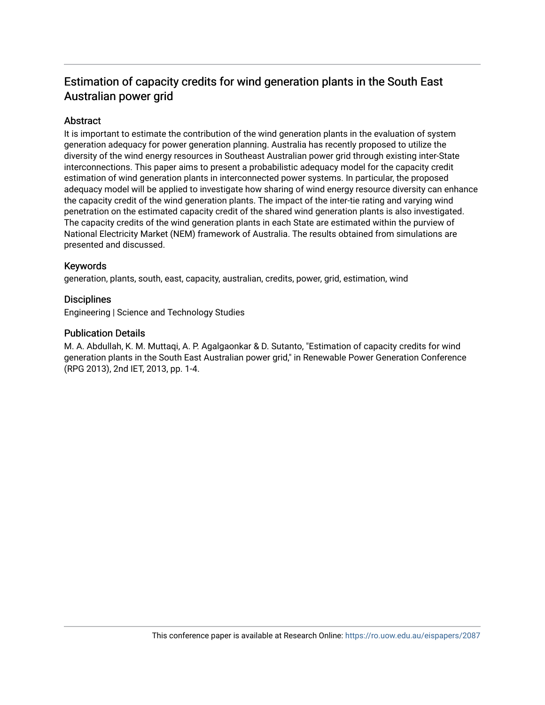## Estimation of capacity credits for wind generation plants in the South East Australian power grid

### **Abstract**

It is important to estimate the contribution of the wind generation plants in the evaluation of system generation adequacy for power generation planning. Australia has recently proposed to utilize the diversity of the wind energy resources in Southeast Australian power grid through existing inter-State interconnections. This paper aims to present a probabilistic adequacy model for the capacity credit estimation of wind generation plants in interconnected power systems. In particular, the proposed adequacy model will be applied to investigate how sharing of wind energy resource diversity can enhance the capacity credit of the wind generation plants. The impact of the inter-tie rating and varying wind penetration on the estimated capacity credit of the shared wind generation plants is also investigated. The capacity credits of the wind generation plants in each State are estimated within the purview of National Electricity Market (NEM) framework of Australia. The results obtained from simulations are presented and discussed.

### Keywords

generation, plants, south, east, capacity, australian, credits, power, grid, estimation, wind

### **Disciplines**

Engineering | Science and Technology Studies

### Publication Details

M. A. Abdullah, K. M. Muttaqi, A. P. Agalgaonkar & D. Sutanto, "Estimation of capacity credits for wind generation plants in the South East Australian power grid," in Renewable Power Generation Conference (RPG 2013), 2nd IET, 2013, pp. 1-4.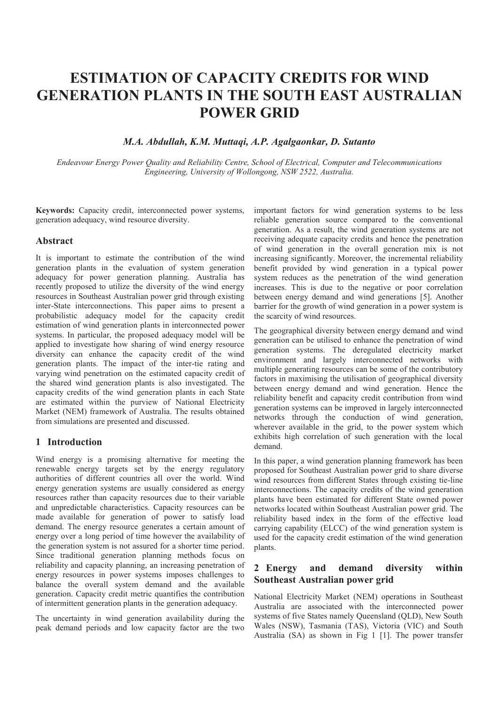# **ESTIMATION OF CAPACITY CREDITS FOR WIND GENERATION PLANTS IN THE SOUTH EAST AUSTRALIAN POWER GRID**

### *M.A. Abdullah, K.M. Muttaqi, A.P. Agalgaonkar, D. Sutanto*

*Endeavour Energy Power Quality and Reliability Centre, School of Electrical, Computer and Telecommunications Engineering, University of Wollongong, NSW 2522, Australia.*

**Keywords:** Capacity credit, interconnected power systems, generation adequacy, wind resource diversity.

#### **Abstract**

It is important to estimate the contribution of the wind generation plants in the evaluation of system generation adequacy for power generation planning. Australia has recently proposed to utilize the diversity of the wind energy resources in Southeast Australian power grid through existing inter-State interconnections. This paper aims to present a probabilistic adequacy model for the capacity credit estimation of wind generation plants in interconnected power systems. In particular, the proposed adequacy model will be applied to investigate how sharing of wind energy resource diversity can enhance the capacity credit of the wind generation plants. The impact of the inter-tie rating and varying wind penetration on the estimated capacity credit of the shared wind generation plants is also investigated. The capacity credits of the wind generation plants in each State are estimated within the purview of National Electricity Market (NEM) framework of Australia. The results obtained from simulations are presented and discussed.

### **1 Introduction**

Wind energy is a promising alternative for meeting the renewable energy targets set by the energy regulatory authorities of different countries all over the world. Wind energy generation systems are usually considered as energy resources rather than capacity resources due to their variable and unpredictable characteristics. Capacity resources can be made available for generation of power to satisfy load demand. The energy resource generates a certain amount of energy over a long period of time however the availability of the generation system is not assured for a shorter time period. Since traditional generation planning methods focus on reliability and capacity planning, an increasing penetration of energy resources in power systems imposes challenges to balance the overall system demand and the available generation. Capacity credit metric quantifies the contribution of intermittent generation plants in the generation adequacy.

The uncertainty in wind generation availability during the peak demand periods and low capacity factor are the two

important factors for wind generation systems to be less reliable generation source compared to the conventional generation. As a result, the wind generation systems are not receiving adequate capacity credits and hence the penetration of wind generation in the overall generation mix is not increasing significantly. Moreover, the incremental reliability benefit provided by wind generation in a typical power system reduces as the penetration of the wind generation increases. This is due to the negative or poor correlation between energy demand and wind generations [5]. Another barrier for the growth of wind generation in a power system is the scarcity of wind resources.

The geographical diversity between energy demand and wind generation can be utilised to enhance the penetration of wind generation systems. The deregulated electricity market environment and largely interconnected networks with multiple generating resources can be some of the contributory factors in maximising the utilisation of geographical diversity between energy demand and wind generation. Hence the reliability benefit and capacity credit contribution from wind generation systems can be improved in largely interconnected networks through the conduction of wind generation, wherever available in the grid, to the power system which exhibits high correlation of such generation with the local demand.

In this paper, a wind generation planning framework has been proposed for Southeast Australian power grid to share diverse wind resources from different States through existing tie-line interconnections. The capacity credits of the wind generation plants have been estimated for different State owned power networks located within Southeast Australian power grid. The reliability based index in the form of the effective load carrying capability (ELCC) of the wind generation system is used for the capacity credit estimation of the wind generation plants.

### **2 Energy and demand diversity within Southeast Australian power grid**

National Electricity Market (NEM) operations in Southeast Australia are associated with the interconnected power systems of five States namely Queensland (QLD), New South Wales (NSW), Tasmania (TAS), Victoria (VIC) and South Australia (SA) as shown in Fig 1 [1]. The power transfer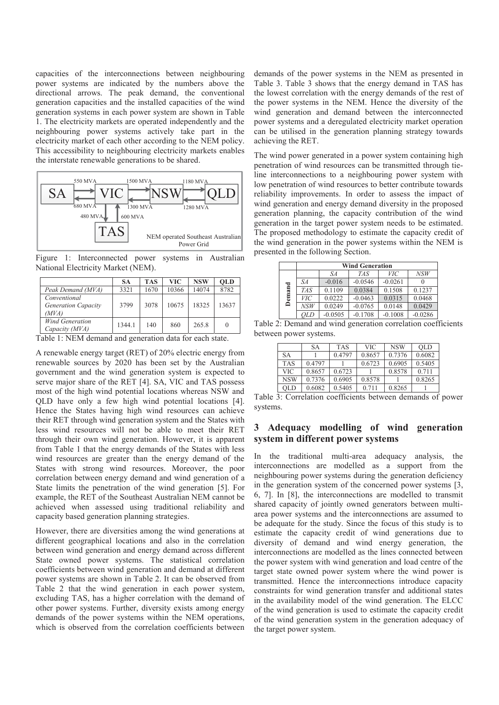capacities of the interconnections between neighbouring power systems are indicated by the numbers above the directional arrows. The peak demand, the conventional generation capacities and the installed capacities of the wind generation systems in each power system are shown in Table 1. The electricity markets are operated independently and the neighbouring power systems actively take part in the electricity market of each other according to the NEM policy. This accessibility to neighbouring electricity markets enables the interstate renewable generations to be shared.



Figure 1: Interconnected power systems in Australian National Electricity Market (NEM).

|                                                     | SА     | <b>TAS</b> | <b>VIC</b> | <b>NSW</b> | <b>OLD</b> |
|-----------------------------------------------------|--------|------------|------------|------------|------------|
| Peak Demand (MVA)                                   | 3321   | 1670       | 10366      | 14074      | 8782       |
| Conventional<br><b>Generation Capacity</b><br>(MVA) | 3799   | 3078       | 10675      | 18325      | 13637      |
| <b>Wind Generation</b><br>Capacity (MVA)            | 1344.1 | 140        | 860        | 265.8      |            |

Table 1: NEM demand and generation data for each state.

A renewable energy target (RET) of 20% electric energy from renewable sources by 2020 has been set by the Australian government and the wind generation system is expected to serve major share of the RET [4]. SA, VIC and TAS possess most of the high wind potential locations whereas NSW and QLD have only a few high wind potential locations [4]. Hence the States having high wind resources can achieve their RET through wind generation system and the States with less wind resources will not be able to meet their RET through their own wind generation. However, it is apparent from Table 1 that the energy demands of the States with less wind resources are greater than the energy demand of the States with strong wind resources. Moreover, the poor correlation between energy demand and wind generation of a State limits the penetration of the wind generation [5]. For example, the RET of the Southeast Australian NEM cannot be achieved when assessed using traditional reliability and capacity based generation planning strategies.

However, there are diversities among the wind generations at different geographical locations and also in the correlation between wind generation and energy demand across different State owned power systems. The statistical correlation coefficients between wind generation and demand at different power systems are shown in Table 2. It can be observed from Table 2 that the wind generation in each power system, excluding TAS, has a higher correlation with the demand of other power systems. Further, diversity exists among energy demands of the power systems within the NEM operations, which is observed from the correlation coefficients between

demands of the power systems in the NEM as presented in Table 3. Table 3 shows that the energy demand in TAS has the lowest correlation with the energy demands of the rest of the power systems in the NEM. Hence the diversity of the wind generation and demand between the interconnected power systems and a deregulated electricity market operation can be utilised in the generation planning strategy towards achieving the RET.

The wind power generated in a power system containing high penetration of wind resources can be transmitted through tieline interconnections to a neighbouring power system with low penetration of wind resources to better contribute towards reliability improvements. In order to assess the impact of wind generation and energy demand diversity in the proposed generation planning, the capacity contribution of the wind generation in the target power system needs to be estimated. The proposed methodology to estimate the capacity credit of the wind generation in the power systems within the NEM is presented in the following Section.

|        | <b>Wind Generation</b> |           |            |           |           |  |
|--------|------------------------|-----------|------------|-----------|-----------|--|
|        |                        | SА        | <b>TAS</b> | VIС       | NSW       |  |
|        | SА                     | $-0.016$  | $-0.0546$  | $-0.0261$ |           |  |
| Demand | <b>TAS</b>             | 0.1109    | 0.0384     | 0.1508    | 0.1237    |  |
|        | VIС                    | 0.0222    | $-0.0463$  | 0.0315    | 0.0468    |  |
|        | NSW                    | 0.0249    | $-0.0765$  | 0.0148    | 0.0429    |  |
|        | OLD                    | $-0.0505$ | $-0.1708$  | $-0.1008$ | $-0.0286$ |  |

Table 2: Demand and wind generation correlation coefficients between power systems.

|            | SА     | <b>TAS</b> | <b>VIC</b> | <b>NSW</b> | <b>OLD</b> |
|------------|--------|------------|------------|------------|------------|
| SА         |        | 0.4797     | 0.8657     | 0.7376     | 0.6082     |
| <b>TAS</b> | 0.4797 |            | 0.6723     | 0.6905     | 0.5405     |
| <b>VIC</b> | 0.8657 | 0.6723     |            | 0.8578     | 0.711      |
| <b>NSW</b> | 0.7376 | 0.6905     | 0.8578     |            | 0.8265     |
| <b>OLD</b> | 0.6082 | 0.5405     | 0.711      | 0.8265     |            |

Table 3: Correlation coefficients between demands of power systems.

### **3 Adequacy modelling of wind generation system in different power systems**

In the traditional multi-area adequacy analysis, the interconnections are modelled as a support from the neighbouring power systems during the generation deficiency in the generation system of the concerned power systems [3, 6, 7]. In [8], the interconnections are modelled to transmit shared capacity of jointly owned generators between multiarea power systems and the interconnections are assumed to be adequate for the study. Since the focus of this study is to estimate the capacity credit of wind generations due to diversity of demand and wind energy generation, the interconnections are modelled as the lines connected between the power system with wind generation and load centre of the target state owned power system where the wind power is transmitted. Hence the interconnections introduce capacity constraints for wind generation transfer and additional states in the availability model of the wind generation. The ELCC of the wind generation is used to estimate the capacity credit of the wind generation system in the generation adequacy of the target power system.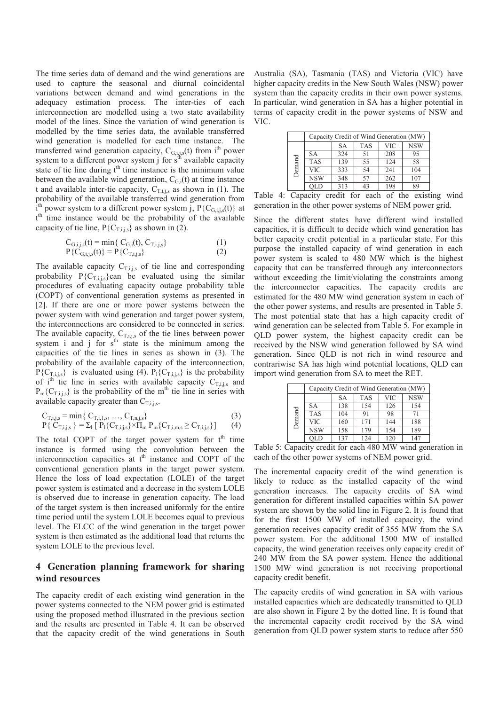The time series data of demand and the wind generations are used to capture the seasonal and diurnal coincidental variations between demand and wind generations in the adequacy estimation process. The inter-ties of each interconnection are modelled using a two state availability model of the lines. Since the variation of wind generation is modelled by the time series data, the available transferred wind generation is modelled for each time instance. The transferred wind generation capacity,  $C_{G,i,j,s}(t)$  from i<sup>th</sup> power system to a different power system j for  $s<sup>th</sup>$  available capacity state of tie line during  $t<sup>th</sup>$  time instance is the minimum value between the available wind generation,  $C_{\text{G}}$  (t) at time instance t and available inter-tie capacity,  $C_{T,i,j,s}$  as shown in (1). The probability of the available transferred wind generation from  $\hat{i}$ <sup>th</sup> power system to a different power system j, P{C<sub>G,i,j,s</sub>(t)} at t<sup>th</sup> time instance would be the probability of the available capacity of tie line,  $P\{C_{\text{This}}\}$  as shown in (2).

$$
C_{G,i,j,s}(t) = \min\{ C_{G,i}(t), C_{T,i,j,s} \}
$$
  
\n
$$
P\{C_{G,i,j,s}(t)\} = P\{C_{T,i,j,s}\}
$$
\n(1)

The available capacity  $C_{T,i,j,s}$  of tie line and corresponding probability  $P\{C_{T,i,j,s}\}$ can be evaluated using the similar procedures of evaluating capacity outage probability table (COPT) of conventional generation systems as presented in [2]. If there are one or more power systems between the power system with wind generation and target power system, the interconnections are considered to be connected in series. The available capacity,  $C_{T,i,j,s}$  of the tie lines between power system i and  $j$  for  $s<sup>th</sup>$  state is the minimum among the capacities of the tie lines in series as shown in (3). The probability of the available capacity of the interconnection,  $P\{C_{\text{T,}i,j}\}\$ is evaluated using (4).  $P\{C_{\text{T,}i,j}\}\$ is the probability of i<sup>th</sup> tie line in series with available capacity  $C_{\text{This}}$  and  $P_m{C_{Ti;s}}$  is the probability of the m<sup>th</sup> tie line in series with available capacity greater than  $C_{\text{T,1}}$ ,

$$
C_{T,i,j,s} = \min \{ C_{T,i,1,s}, ..., C_{T,n,j,s} \}
$$
\n
$$
P\{ C_{T,i,j,s} \} = \sum_{l} [ P_1 \{ C_{T,i,j,s} \} \times \Pi_m P_m \{ C_{T,i,m,s} \ge C_{T,i,j,s} \} ] \tag{3}
$$

The total COPT of the target power system for  $t<sup>th</sup>$  time instance is formed using the convolution between the interconnection capacities at t<sup>th</sup> instance and COPT of the conventional generation plants in the target power system. Hence the loss of load expectation (LOLE) of the target power system is estimated and a decrease in the system LOLE is observed due to increase in generation capacity. The load of the target system is then increased uniformly for the entire time period until the system LOLE becomes equal to previous level. The ELCC of the wind generation in the target power system is then estimated as the additional load that returns the system LOLE to the previous level.

### **4 Generation planning framework for sharing wind resources**

The capacity credit of each existing wind generation in the power systems connected to the NEM power grid is estimated using the proposed method illustrated in the previous section and the results are presented in Table 4. It can be observed that the capacity credit of the wind generations in South

Australia (SA), Tasmania (TAS) and Victoria (VIC) have higher capacity credits in the New South Wales (NSW) power system than the capacity credits in their own power systems. In particular, wind generation in SA has a higher potential in terms of capacity credit in the power systems of NSW and VIC.

|        | Capacity Credit of Wind Generation (MW) |     |            |     |            |
|--------|-----------------------------------------|-----|------------|-----|------------|
| Demand |                                         | SА  | <b>TAS</b> | VIC | <b>NSW</b> |
|        | <b>SA</b>                               | 324 | 51         | 208 | 95         |
|        | <b>TAS</b>                              | 139 | 55         | 124 | 58         |
|        | <b>VIC</b>                              | 333 | 54         | 241 | 104        |
|        | <b>NSW</b>                              | 348 | 57         | 262 | 107        |
|        |                                         | 313 | 43         | 198 | 89         |

Table 4: Capacity credit for each of the existing wind generation in the other power systems of NEM power grid.

Since the different states have different wind installed capacities, it is difficult to decide which wind generation has better capacity credit potential in a particular state. For this purpose the installed capacity of wind generation in each power system is scaled to 480 MW which is the highest capacity that can be transferred through any interconnectors without exceeding the limit/violating the constraints among the interconnector capacities. The capacity credits are estimated for the 480 MW wind generation system in each of the other power systems, and results are presented in Table 5. The most potential state that has a high capacity credit of wind generation can be selected from Table 5. For example in QLD power system, the highest capacity credit can be received by the NSW wind generation followed by SA wind generation. Since QLD is not rich in wind resource and contrariwise SA has high wind potential locations, QLD can import wind generation from SA to meet the RET.

|        | Capacity Credit of Wind Generation (MW) |           |            |     |            |  |
|--------|-----------------------------------------|-----------|------------|-----|------------|--|
| Demand |                                         | <b>SA</b> | <b>TAS</b> | VIC | <b>NSW</b> |  |
|        | <b>SA</b>                               | 138       | 154        | 126 | 154        |  |
|        | <b>TAS</b>                              | 104       | 91         | 98  |            |  |
|        | VIC                                     | 160       | 171        | 144 | 188        |  |
|        | <b>NSW</b>                              | 158       | 179        | 154 | 189        |  |
|        | OL IC                                   | 137       | 124        | 120 | 147        |  |

Table 5: Capacity credit for each 480 MW wind generation in each of the other power systems of NEM power grid.

The incremental capacity credit of the wind generation is likely to reduce as the installed capacity of the wind generation increases. The capacity credits of SA wind generation for different installed capacities within SA power system are shown by the solid line in Figure 2. It is found that for the first 1500 MW of installed capacity, the wind generation receives capacity credit of 355 MW from the SA power system. For the additional 1500 MW of installed capacity, the wind generation receives only capacity credit of 240 MW from the SA power system. Hence the additional 1500 MW wind generation is not receiving proportional capacity credit benefit.

The capacity credits of wind generation in SA with various installed capacities which are dedicatedly transmitted to QLD are also shown in Figure 2 by the dotted line. It is found that the incremental capacity credit received by the SA wind generation from QLD power system starts to reduce after 550